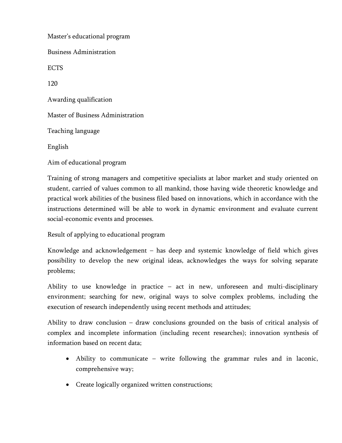Master's educational program Business Administration ECTS 120 Awarding qualification Master of Business Administration Teaching language English Aim of educational program

Training of strong managers and competitive specialists at labor market and study oriented on student, carried of values common to all mankind, those having wide theoretic knowledge and practical work abilities of the business filed based on innovations, which in accordance with the instructions determined will be able to work in dynamic environment and evaluate current social-economic events and processes.

Result of applying to educational program

Knowledge and acknowledgement – has deep and systemic knowledge of field which gives possibility to develop the new original ideas, acknowledges the ways for solving separate problems;

Ability to use knowledge in practice – act in new, unforeseen and multi-disciplinary environment; searching for new, original ways to solve complex problems, including the execution of research independently using recent methods and attitudes;

Ability to draw conclusion – draw conclusions grounded on the basis of critical analysis of complex and incomplete information (including recent researches); innovation synthesis of information based on recent data;

- Ability to communicate write following the grammar rules and in laconic, comprehensive way;
- Create logically organized written constructions;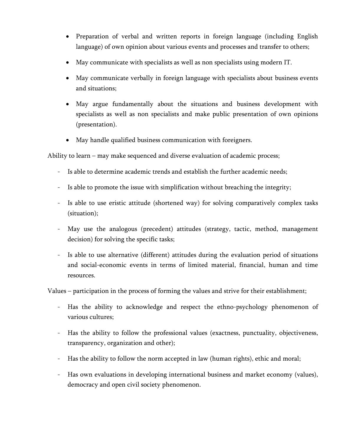- Preparation of verbal and written reports in foreign language (including English language) of own opinion about various events and processes and transfer to others;
- May communicate with specialists as well as non specialists using modern IT.
- May communicate verbally in foreign language with specialists about business events and situations;
- May argue fundamentally about the situations and business development with specialists as well as non specialists and make public presentation of own opinions (presentation).
- May handle qualified business communication with foreigners.

Ability to learn – may make sequenced and diverse evaluation of academic process;

- Is able to determine academic trends and establish the further academic needs;
- Is able to promote the issue with simplification without breaching the integrity;
- Is able to use eristic attitude (shortened way) for solving comparatively complex tasks (situation);
- May use the analogous (precedent) attitudes (strategy, tactic, method, management decision) for solving the specific tasks;
- Is able to use alternative (different) attitudes during the evaluation period of situations and social-economic events in terms of limited material, financial, human and time resources.

Values – participation in the process of forming the values and strive for their establishment;

- Has the ability to acknowledge and respect the ethno-psychology phenomenon of various cultures;
- Has the ability to follow the professional values (exactness, punctuality, objectiveness, transparency, organization and other);
- Has the ability to follow the norm accepted in law (human rights), ethic and moral;
- Has own evaluations in developing international business and market economy (values), democracy and open civil society phenomenon.